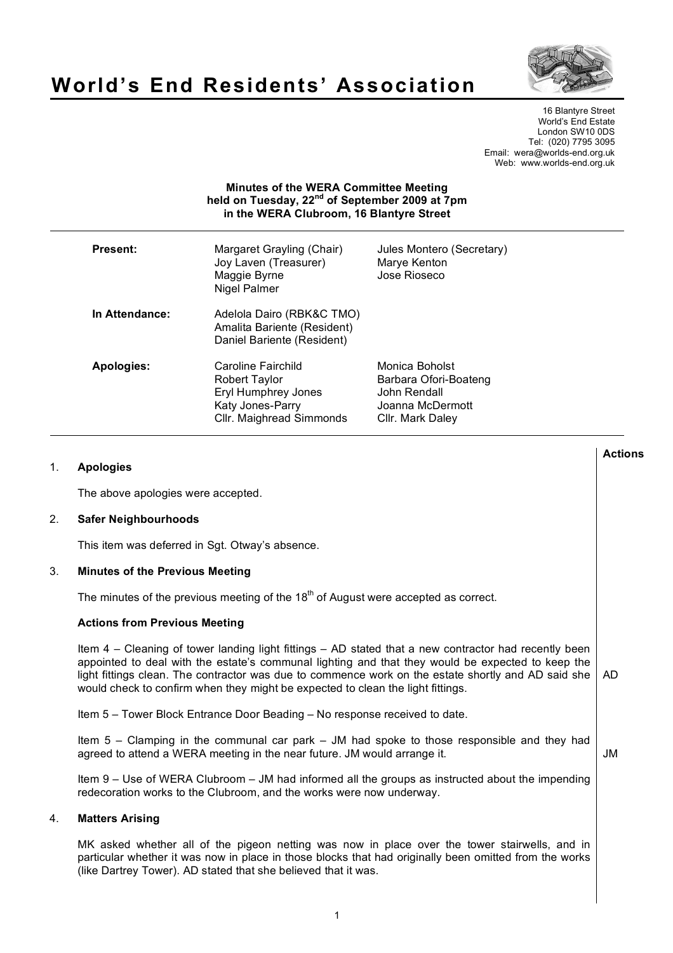

# **World's End Residents' Association**

16 Blantyre Street World's End Estate London SW10 0DS Tel: (020) 7795 3095 Email: wera@worlds-end.org.uk Web: www.worlds-end.org.uk

# **Minutes of the WERA Committee Meeting held on Tuesday, 22nd of September 2009 at 7pm in the WERA Clubroom, 16 Blantyre Street**

| <b>Present:</b> | Margaret Grayling (Chair)<br>Joy Laven (Treasurer)<br>Maggie Byrne<br>Nigel Palmer                         | Jules Montero (Secretary)<br>Marye Kenton<br>Jose Rioseco                                       |
|-----------------|------------------------------------------------------------------------------------------------------------|-------------------------------------------------------------------------------------------------|
| In Attendance:  | Adelola Dairo (RBK&C TMO)<br>Amalita Bariente (Resident)<br>Daniel Bariente (Resident)                     |                                                                                                 |
| Apologies:      | Caroline Fairchild<br>Robert Taylor<br>Eryl Humphrey Jones<br>Katy Jones-Parry<br>Cllr. Maighread Simmonds | Monica Boholst<br>Barbara Ofori-Boateng<br>John Rendall<br>Joanna McDermott<br>Cllr. Mark Daley |

| 1. | <b>Apologies</b>                                                                                                                                                                                                                                                                                                                                                                                     | <b>Actions</b> |
|----|------------------------------------------------------------------------------------------------------------------------------------------------------------------------------------------------------------------------------------------------------------------------------------------------------------------------------------------------------------------------------------------------------|----------------|
|    | The above apologies were accepted.                                                                                                                                                                                                                                                                                                                                                                   |                |
| 2. | <b>Safer Neighbourhoods</b>                                                                                                                                                                                                                                                                                                                                                                          |                |
|    | This item was deferred in Sgt. Otway's absence.                                                                                                                                                                                                                                                                                                                                                      |                |
| 3. | <b>Minutes of the Previous Meeting</b>                                                                                                                                                                                                                                                                                                                                                               |                |
|    | The minutes of the previous meeting of the $18th$ of August were accepted as correct.                                                                                                                                                                                                                                                                                                                |                |
|    | <b>Actions from Previous Meeting</b>                                                                                                                                                                                                                                                                                                                                                                 |                |
|    | Item 4 - Cleaning of tower landing light fittings - AD stated that a new contractor had recently been<br>appointed to deal with the estate's communal lighting and that they would be expected to keep the<br>light fittings clean. The contractor was due to commence work on the estate shortly and AD said she<br>would check to confirm when they might be expected to clean the light fittings. | AD             |
|    | Item 5 - Tower Block Entrance Door Beading - No response received to date.                                                                                                                                                                                                                                                                                                                           |                |
|    | Item $5$ – Clamping in the communal car park – JM had spoke to those responsible and they had<br>agreed to attend a WERA meeting in the near future. JM would arrange it.                                                                                                                                                                                                                            | <b>JM</b>      |
|    | Item 9 – Use of WERA Clubroom – JM had informed all the groups as instructed about the impending<br>redecoration works to the Clubroom, and the works were now underway.                                                                                                                                                                                                                             |                |
| 4. | <b>Matters Arising</b>                                                                                                                                                                                                                                                                                                                                                                               |                |
|    | MK asked whether all of the pigeon netting was now in place over the tower stairwells, and in<br>particular whether it was now in place in those blocks that had originally been omitted from the works<br>(like Dartrey Tower). AD stated that she believed that it was.                                                                                                                            |                |
|    |                                                                                                                                                                                                                                                                                                                                                                                                      |                |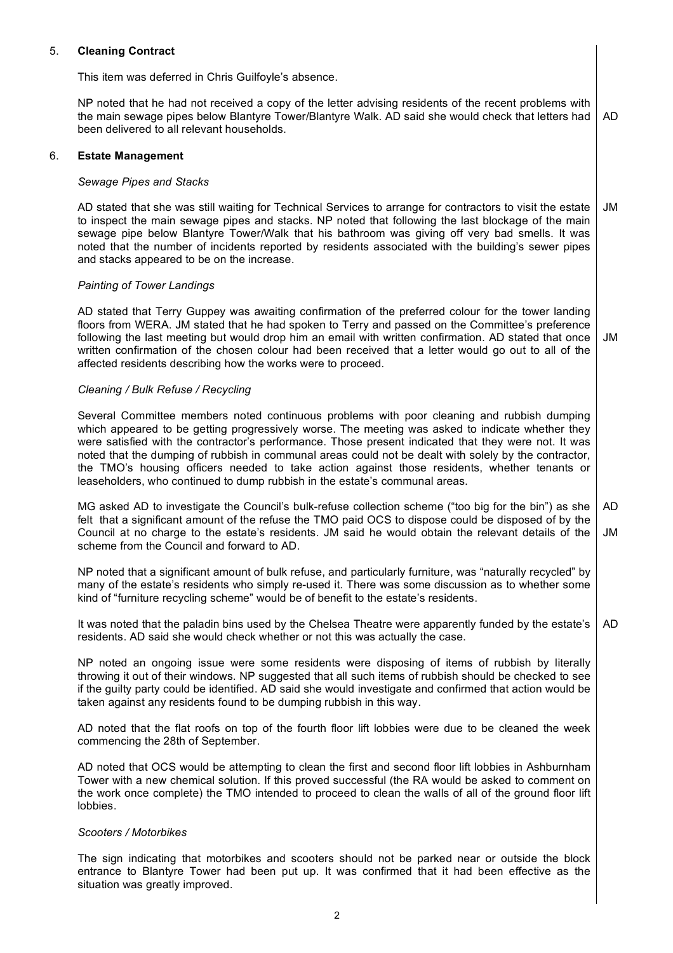# 5. **Cleaning Contract**

This item was deferred in Chris Guilfoyle's absence.

NP noted that he had not received a copy of the letter advising residents of the recent problems with the main sewage pipes below Blantyre Tower/Blantyre Walk. AD said she would check that letters had been delivered to all relevant households. AD

# 6. **Estate Management**

# *Sewage Pipes and Stacks*

AD stated that she was still waiting for Technical Services to arrange for contractors to visit the estate to inspect the main sewage pipes and stacks. NP noted that following the last blockage of the main sewage pipe below Blantyre Tower/Walk that his bathroom was giving off very bad smells. It was noted that the number of incidents reported by residents associated with the building's sewer pipes and stacks appeared to be on the increase. JM

#### *Painting of Tower Landings*

AD stated that Terry Guppey was awaiting confirmation of the preferred colour for the tower landing floors from WERA. JM stated that he had spoken to Terry and passed on the Committee's preference following the last meeting but would drop him an email with written confirmation. AD stated that once written confirmation of the chosen colour had been received that a letter would go out to all of the affected residents describing how the works were to proceed. JM

# *Cleaning / Bulk Refuse / Recycling*

Several Committee members noted continuous problems with poor cleaning and rubbish dumping which appeared to be getting progressively worse. The meeting was asked to indicate whether they were satisfied with the contractor's performance. Those present indicated that they were not. It was noted that the dumping of rubbish in communal areas could not be dealt with solely by the contractor, the TMO's housing officers needed to take action against those residents, whether tenants or leaseholders, who continued to dump rubbish in the estate's communal areas.

MG asked AD to investigate the Council's bulk-refuse collection scheme ("too big for the bin") as she felt that a significant amount of the refuse the TMO paid OCS to dispose could be disposed of by the Council at no charge to the estate's residents. JM said he would obtain the relevant details of the scheme from the Council and forward to AD. AD JM

NP noted that a significant amount of bulk refuse, and particularly furniture, was "naturally recycled" by many of the estate's residents who simply re-used it. There was some discussion as to whether some kind of "furniture recycling scheme" would be of benefit to the estate's residents.

It was noted that the paladin bins used by the Chelsea Theatre were apparently funded by the estate's residents. AD said she would check whether or not this was actually the case. AD

NP noted an ongoing issue were some residents were disposing of items of rubbish by literally throwing it out of their windows. NP suggested that all such items of rubbish should be checked to see if the guilty party could be identified. AD said she would investigate and confirmed that action would be taken against any residents found to be dumping rubbish in this way.

AD noted that the flat roofs on top of the fourth floor lift lobbies were due to be cleaned the week commencing the 28th of September.

AD noted that OCS would be attempting to clean the first and second floor lift lobbies in Ashburnham Tower with a new chemical solution. If this proved successful (the RA would be asked to comment on the work once complete) the TMO intended to proceed to clean the walls of all of the ground floor lift lobbies.

#### *Scooters / Motorbikes*

The sign indicating that motorbikes and scooters should not be parked near or outside the block entrance to Blantyre Tower had been put up. It was confirmed that it had been effective as the situation was greatly improved.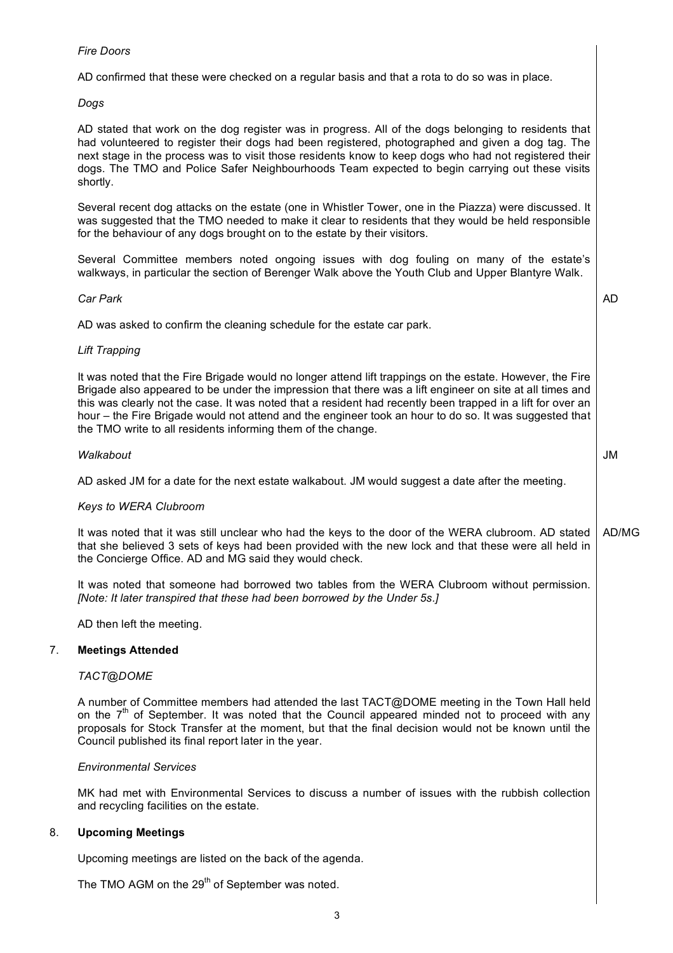# *Fire Doors*

AD confirmed that these were checked on a regular basis and that a rota to do so was in place.

# *Dogs*

AD stated that work on the dog register was in progress. All of the dogs belonging to residents that had volunteered to register their dogs had been registered, photographed and given a dog tag. The next stage in the process was to visit those residents know to keep dogs who had not registered their dogs. The TMO and Police Safer Neighbourhoods Team expected to begin carrying out these visits shortly.

Several recent dog attacks on the estate (one in Whistler Tower, one in the Piazza) were discussed. It was suggested that the TMO needed to make it clear to residents that they would be held responsible for the behaviour of any dogs brought on to the estate by their visitors.

Several Committee members noted ongoing issues with dog fouling on many of the estate's walkways, in particular the section of Berenger Walk above the Youth Club and Upper Blantyre Walk.

AD

#### *Car Park*

AD was asked to confirm the cleaning schedule for the estate car park.

#### *Lift Trapping*

It was noted that the Fire Brigade would no longer attend lift trappings on the estate. However, the Fire Brigade also appeared to be under the impression that there was a lift engineer on site at all times and this was clearly not the case. It was noted that a resident had recently been trapped in a lift for over an hour – the Fire Brigade would not attend and the engineer took an hour to do so. It was suggested that the TMO write to all residents informing them of the change.

# *Walkabout* AD asked JM for a date for the next estate walkabout. JM would suggest a date after the meeting. JM

#### *Keys to WERA Clubroom*

It was noted that it was still unclear who had the keys to the door of the WERA clubroom. AD stated that she believed 3 sets of keys had been provided with the new lock and that these were all held in the Concierge Office. AD and MG said they would check. AD/MG

It was noted that someone had borrowed two tables from the WERA Clubroom without permission. *[Note: It later transpired that these had been borrowed by the Under 5s.]* 

AD then left the meeting.

#### 7. **Meetings Attended**

#### *TACT@DOME*

A number of Committee members had attended the last TACT@DOME meeting in the Town Hall held on the  $7<sup>th</sup>$  of September. It was noted that the Council appeared minded not to proceed with any proposals for Stock Transfer at the moment, but that the final decision would not be known until the Council published its final report later in the year.

#### *Environmental Services*

MK had met with Environmental Services to discuss a number of issues with the rubbish collection and recycling facilities on the estate.

#### 8. **Upcoming Meetings**

Upcoming meetings are listed on the back of the agenda.

The TMO AGM on the 29<sup>th</sup> of September was noted.